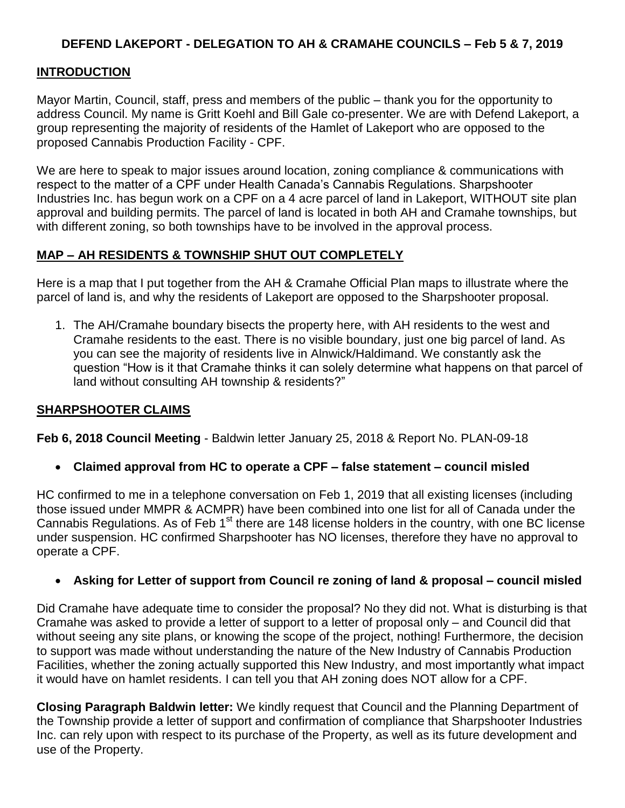# **DEFEND LAKEPORT - DELEGATION TO AH & CRAMAHE COUNCILS – Feb 5 & 7, 2019**

## **INTRODUCTION**

Mayor Martin, Council, staff, press and members of the public – thank you for the opportunity to address Council. My name is Gritt Koehl and Bill Gale co-presenter. We are with Defend Lakeport, a group representing the majority of residents of the Hamlet of Lakeport who are opposed to the proposed Cannabis Production Facility - CPF.

We are here to speak to major issues around location, zoning compliance & communications with respect to the matter of a CPF under Health Canada's Cannabis Regulations. Sharpshooter Industries Inc. has begun work on a CPF on a 4 acre parcel of land in Lakeport, WITHOUT site plan approval and building permits. The parcel of land is located in both AH and Cramahe townships, but with different zoning, so both townships have to be involved in the approval process.

## **MAP – AH RESIDENTS & TOWNSHIP SHUT OUT COMPLETELY**

Here is a map that I put together from the AH & Cramahe Official Plan maps to illustrate where the parcel of land is, and why the residents of Lakeport are opposed to the Sharpshooter proposal.

1. The AH/Cramahe boundary bisects the property here, with AH residents to the west and Cramahe residents to the east. There is no visible boundary, just one big parcel of land. As you can see the majority of residents live in Alnwick/Haldimand. We constantly ask the question "How is it that Cramahe thinks it can solely determine what happens on that parcel of land without consulting AH township & residents?"

### **SHARPSHOOTER CLAIMS**

**Feb 6, 2018 Council Meeting** - Baldwin letter January 25, 2018 & Report No. PLAN-09-18

**Claimed approval from HC to operate a CPF – false statement – council misled**

HC confirmed to me in a telephone conversation on Feb 1, 2019 that all existing licenses (including those issued under MMPR & ACMPR) have been combined into one list for all of Canada under the Cannabis Regulations. As of Feb 1<sup>st</sup> there are 148 license holders in the country, with one BC license under suspension. HC confirmed Sharpshooter has NO licenses, therefore they have no approval to operate a CPF.

### **Asking for Letter of support from Council re zoning of land & proposal – council misled**

Did Cramahe have adequate time to consider the proposal? No they did not. What is disturbing is that Cramahe was asked to provide a letter of support to a letter of proposal only – and Council did that without seeing any site plans, or knowing the scope of the project, nothing! Furthermore, the decision to support was made without understanding the nature of the New Industry of Cannabis Production Facilities, whether the zoning actually supported this New Industry, and most importantly what impact it would have on hamlet residents. I can tell you that AH zoning does NOT allow for a CPF.

**Closing Paragraph Baldwin letter:** We kindly request that Council and the Planning Department of the Township provide a letter of support and confirmation of compliance that Sharpshooter Industries Inc. can rely upon with respect to its purchase of the Property, as well as its future development and use of the Property.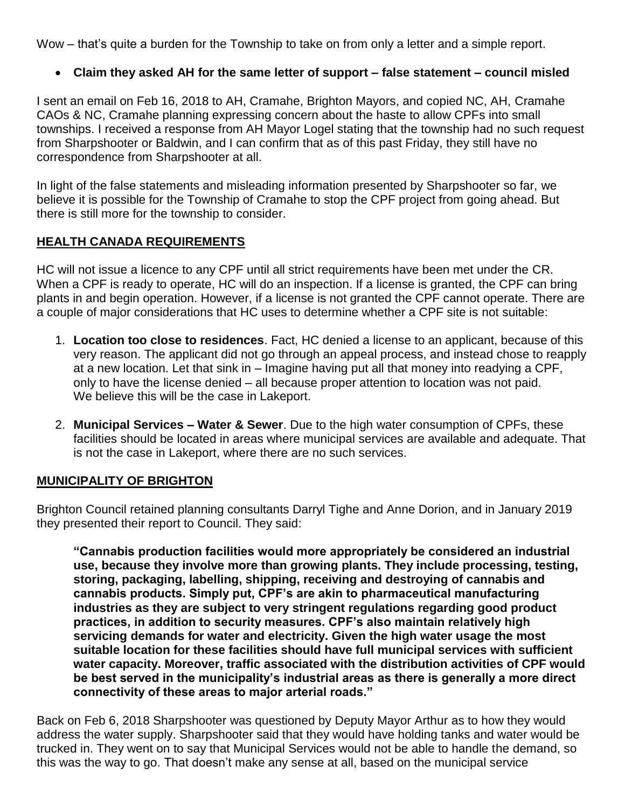Wow – that's quite a burden for the Township to take on from only a letter and a simple report.

**Claim they asked AH for the same letter of support – false statement – council misled**

I sent an email on Feb 16, 2018 to AH, Cramahe, Brighton Mayors, and copied NC, AH, Cramahe CAOs & NC, Cramahe planning expressing concern about the haste to allow CPFs into small townships. I received a response from AH Mayor Logel stating that the township had no such request from Sharpshooter or Baldwin, and I can confirm that as of this past Friday, they still have no correspondence from Sharpshooter at all.

In light of the false statements and misleading information presented by Sharpshooter so far, we believe it is possible for the Township of Cramahe to stop the CPF project from going ahead. But there is still more for the township to consider.

# **HEALTH CANADA REQUIREMENTS**

HC will not issue a licence to any CPF until all strict requirements have been met under the CR. When a CPF is ready to operate, HC will do an inspection. If a license is granted, the CPF can bring plants in and begin operation. However, if a license is not granted the CPF cannot operate. There are a couple of major considerations that HC uses to determine whether a CPF site is not suitable:

- 1. **Location too close to residences**. Fact, HC denied a license to an applicant, because of this very reason. The applicant did not go through an appeal process, and instead chose to reapply at a new location. Let that sink in – Imagine having put all that money into readying a CPF, only to have the license denied – all because proper attention to location was not paid. We believe this will be the case in Lakeport.
- 2. **Municipal Services – Water & Sewer**. Due to the high water consumption of CPFs, these facilities should be located in areas where municipal services are available and adequate. That is not the case in Lakeport, where there are no such services.

## **MUNICIPALITY OF BRIGHTON**

Brighton Council retained planning consultants Darryl Tighe and Anne Dorion, and in January 2019 they presented their report to Council. They said:

**"Cannabis production facilities would more appropriately be considered an industrial use, because they involve more than growing plants. They include processing, testing, storing, packaging, labelling, shipping, receiving and destroying of cannabis and cannabis products. Simply put, CPF's are akin to pharmaceutical manufacturing industries as they are subject to very stringent regulations regarding good product practices, in addition to security measures. CPF's also maintain relatively high servicing demands for water and electricity. Given the high water usage the most suitable location for these facilities should have full municipal services with sufficient water capacity. Moreover, traffic associated with the distribution activities of CPF would be best served in the municipality's industrial areas as there is generally a more direct connectivity of these areas to major arterial roads."**

Back on Feb 6, 2018 Sharpshooter was questioned by Deputy Mayor Arthur as to how they would address the water supply. Sharpshooter said that they would have holding tanks and water would be trucked in. They went on to say that Municipal Services would not be able to handle the demand, so this was the way to go. That doesn't make any sense at all, based on the municipal service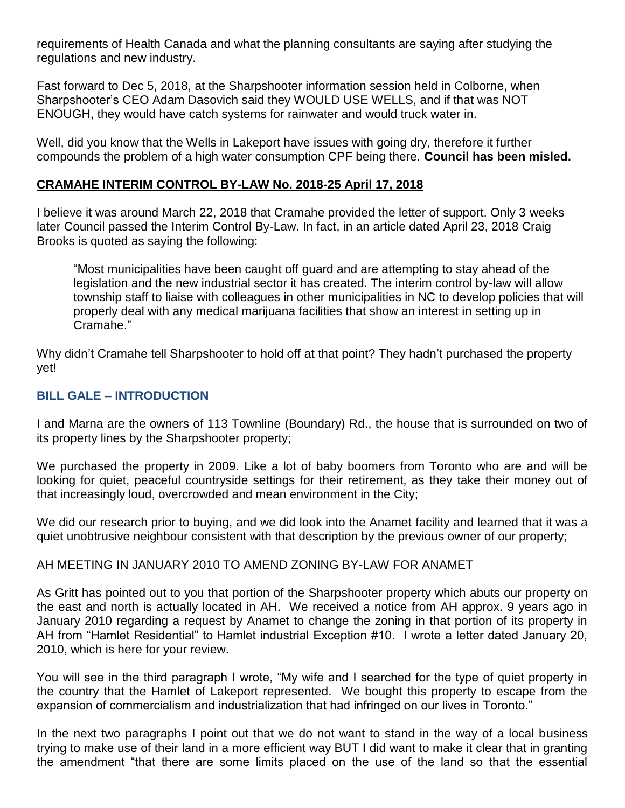requirements of Health Canada and what the planning consultants are saying after studying the regulations and new industry.

Fast forward to Dec 5, 2018, at the Sharpshooter information session held in Colborne, when Sharpshooter's CEO Adam Dasovich said they WOULD USE WELLS, and if that was NOT ENOUGH, they would have catch systems for rainwater and would truck water in.

Well, did you know that the Wells in Lakeport have issues with going dry, therefore it further compounds the problem of a high water consumption CPF being there. **Council has been misled.**

## **CRAMAHE INTERIM CONTROL BY-LAW No. 2018-25 April 17, 2018**

I believe it was around March 22, 2018 that Cramahe provided the letter of support. Only 3 weeks later Council passed the Interim Control By-Law. In fact, in an article dated April 23, 2018 Craig Brooks is quoted as saying the following:

"Most municipalities have been caught off guard and are attempting to stay ahead of the legislation and the new industrial sector it has created. The interim control by-law will allow township staff to liaise with colleagues in other municipalities in NC to develop policies that will properly deal with any medical marijuana facilities that show an interest in setting up in Cramahe."

Why didn't Cramahe tell Sharpshooter to hold off at that point? They hadn't purchased the property yet!

## **BILL GALE – INTRODUCTION**

I and Marna are the owners of 113 Townline (Boundary) Rd., the house that is surrounded on two of its property lines by the Sharpshooter property;

We purchased the property in 2009. Like a lot of baby boomers from Toronto who are and will be looking for quiet, peaceful countryside settings for their retirement, as they take their money out of that increasingly loud, overcrowded and mean environment in the City;

We did our research prior to buying, and we did look into the Anamet facility and learned that it was a quiet unobtrusive neighbour consistent with that description by the previous owner of our property;

### AH MEETING IN JANUARY 2010 TO AMEND ZONING BY-LAW FOR ANAMET

As Gritt has pointed out to you that portion of the Sharpshooter property which abuts our property on the east and north is actually located in AH. We received a notice from AH approx. 9 years ago in January 2010 regarding a request by Anamet to change the zoning in that portion of its property in AH from "Hamlet Residential" to Hamlet industrial Exception #10. I wrote a letter dated January 20, 2010, which is here for your review.

You will see in the third paragraph I wrote, "My wife and I searched for the type of quiet property in the country that the Hamlet of Lakeport represented. We bought this property to escape from the expansion of commercialism and industrialization that had infringed on our lives in Toronto."

In the next two paragraphs I point out that we do not want to stand in the way of a local business trying to make use of their land in a more efficient way BUT I did want to make it clear that in granting the amendment "that there are some limits placed on the use of the land so that the essential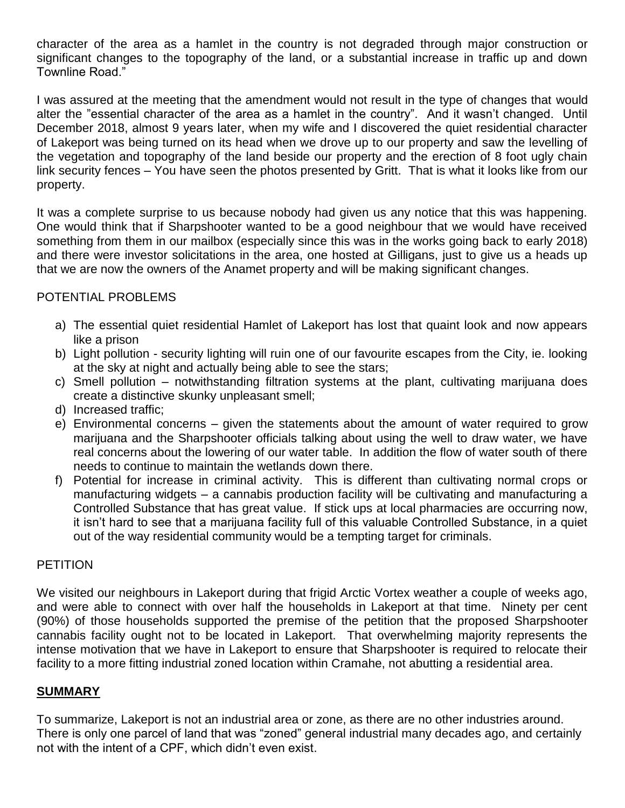character of the area as a hamlet in the country is not degraded through major construction or significant changes to the topography of the land, or a substantial increase in traffic up and down Townline Road."

I was assured at the meeting that the amendment would not result in the type of changes that would alter the "essential character of the area as a hamlet in the country". And it wasn't changed. Until December 2018, almost 9 years later, when my wife and I discovered the quiet residential character of Lakeport was being turned on its head when we drove up to our property and saw the levelling of the vegetation and topography of the land beside our property and the erection of 8 foot ugly chain link security fences – You have seen the photos presented by Gritt. That is what it looks like from our property.

It was a complete surprise to us because nobody had given us any notice that this was happening. One would think that if Sharpshooter wanted to be a good neighbour that we would have received something from them in our mailbox (especially since this was in the works going back to early 2018) and there were investor solicitations in the area, one hosted at Gilligans, just to give us a heads up that we are now the owners of the Anamet property and will be making significant changes.

## POTENTIAL PROBLEMS

- a) The essential quiet residential Hamlet of Lakeport has lost that quaint look and now appears like a prison
- b) Light pollution security lighting will ruin one of our favourite escapes from the City, ie. looking at the sky at night and actually being able to see the stars;
- c) Smell pollution notwithstanding filtration systems at the plant, cultivating marijuana does create a distinctive skunky unpleasant smell;
- d) Increased traffic;
- e) Environmental concerns given the statements about the amount of water required to grow marijuana and the Sharpshooter officials talking about using the well to draw water, we have real concerns about the lowering of our water table. In addition the flow of water south of there needs to continue to maintain the wetlands down there.
- f) Potential for increase in criminal activity. This is different than cultivating normal crops or manufacturing widgets – a cannabis production facility will be cultivating and manufacturing a Controlled Substance that has great value. If stick ups at local pharmacies are occurring now, it isn't hard to see that a marijuana facility full of this valuable Controlled Substance, in a quiet out of the way residential community would be a tempting target for criminals.

### **PETITION**

We visited our neighbours in Lakeport during that frigid Arctic Vortex weather a couple of weeks ago, and were able to connect with over half the households in Lakeport at that time. Ninety per cent (90%) of those households supported the premise of the petition that the proposed Sharpshooter cannabis facility ought not to be located in Lakeport. That overwhelming majority represents the intense motivation that we have in Lakeport to ensure that Sharpshooter is required to relocate their facility to a more fitting industrial zoned location within Cramahe, not abutting a residential area.

## **SUMMARY**

To summarize, Lakeport is not an industrial area or zone, as there are no other industries around. There is only one parcel of land that was "zoned" general industrial many decades ago, and certainly not with the intent of a CPF, which didn't even exist.